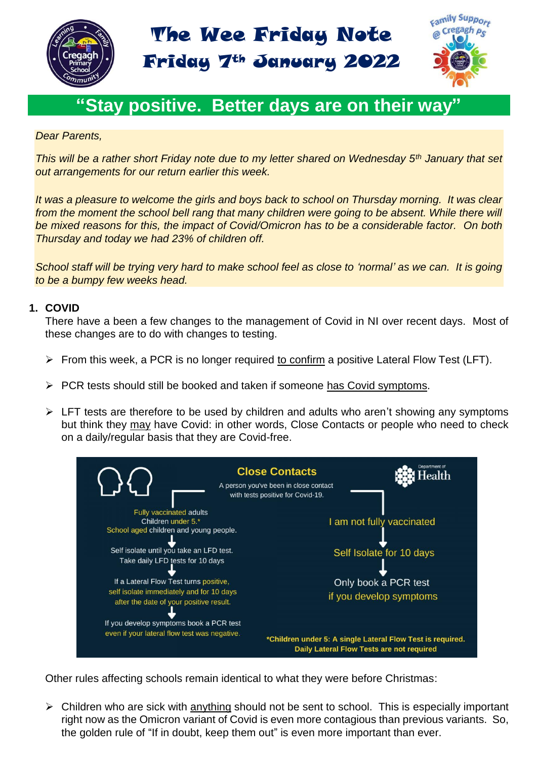

The Wee Friday Note Friday 7th January 2022



# **"Stay positive. Better days are on their way"**

# *Dear Parents,*

*This will be a rather short Friday note due to my letter shared on Wednesday 5th January that set out arrangements for our return earlier this week.*

*It was a pleasure to welcome the girls and boys back to school on Thursday morning. It was clear*  from the moment the school bell rang that many children were going to be absent. While there will *be mixed reasons for this, the impact of Covid/Omicron has to be a considerable factor. On both Thursday and today we had 23% of children off.*

*School staff will be trying very hard to make school feel as close to 'normal' as we can. It is going to be a bumpy few weeks head.*

# **1. COVID**

There have a been a few changes to the management of Covid in NI over recent days. Most of these changes are to do with changes to testing.

- $\triangleright$  From this week, a PCR is no longer required to confirm a positive Lateral Flow Test (LFT).
- $\triangleright$  PCR tests should still be booked and taken if someone has Covid symptoms.
- $\triangleright$  LFT tests are therefore to be used by children and adults who aren't showing any symptoms but think they may have Covid: in other words, Close Contacts or people who need to check on a daily/regular basis that they are Covid-free.



Other rules affecting schools remain identical to what they were before Christmas:

 $\triangleright$  Children who are sick with anything should not be sent to school. This is especially important right now as the Omicron variant of Covid is even more contagious than previous variants. So, the golden rule of "If in doubt, keep them out" is even more important than ever.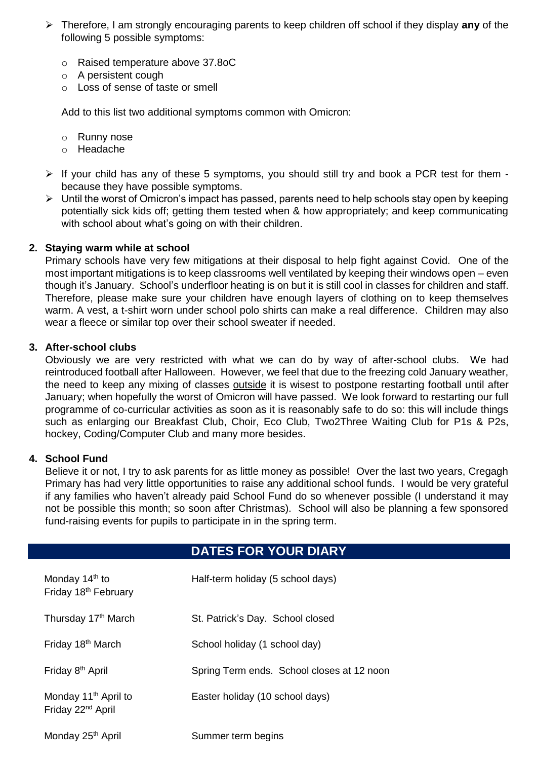- Therefore, I am strongly encouraging parents to keep children off school if they display **any** of the following 5 possible symptoms:
	- o Raised temperature above 37.8oC
	- o A persistent cough
	- o Loss of sense of taste or smell

Add to this list two additional symptoms common with Omicron:

- o Runny nose
- o Headache
- $\triangleright$  If your child has any of these 5 symptoms, you should still try and book a PCR test for them because they have possible symptoms.
- Until the worst of Omicron's impact has passed, parents need to help schools stay open by keeping potentially sick kids off; getting them tested when & how appropriately; and keep communicating with school about what's going on with their children.

# **2. Staying warm while at school**

Primary schools have very few mitigations at their disposal to help fight against Covid. One of the most important mitigations is to keep classrooms well ventilated by keeping their windows open – even though it's January. School's underfloor heating is on but it is still cool in classes for children and staff. Therefore, please make sure your children have enough layers of clothing on to keep themselves warm. A vest, a t-shirt worn under school polo shirts can make a real difference. Children may also wear a fleece or similar top over their school sweater if needed.

# **3. After-school clubs**

Obviously we are very restricted with what we can do by way of after-school clubs. We had reintroduced football after Halloween. However, we feel that due to the freezing cold January weather, the need to keep any mixing of classes outside it is wisest to postpone restarting football until after January; when hopefully the worst of Omicron will have passed. We look forward to restarting our full programme of co-curricular activities as soon as it is reasonably safe to do so: this will include things such as enlarging our Breakfast Club, Choir, Eco Club, Two2Three Waiting Club for P1s & P2s, hockey, Coding/Computer Club and many more besides.

# **4. School Fund**

Believe it or not, I try to ask parents for as little money as possible! Over the last two years, Cregagh Primary has had very little opportunities to raise any additional school funds. I would be very grateful if any families who haven't already paid School Fund do so whenever possible (I understand it may not be possible this month; so soon after Christmas). School will also be planning a few sponsored fund-raising events for pupils to participate in in the spring term.

# **DATES FOR YOUR DIARY**

| Monday 14 <sup>th</sup> to<br>Friday 18th February                | Half-term holiday (5 school days)          |
|-------------------------------------------------------------------|--------------------------------------------|
| Thursday 17 <sup>th</sup> March                                   | St. Patrick's Day. School closed           |
| Friday 18 <sup>th</sup> March                                     | School holiday (1 school day)              |
| Friday 8 <sup>th</sup> April                                      | Spring Term ends. School closes at 12 noon |
| Monday 11 <sup>th</sup> April to<br>Friday 22 <sup>nd</sup> April | Easter holiday (10 school days)            |
| Monday 25 <sup>th</sup> April                                     | Summer term begins                         |